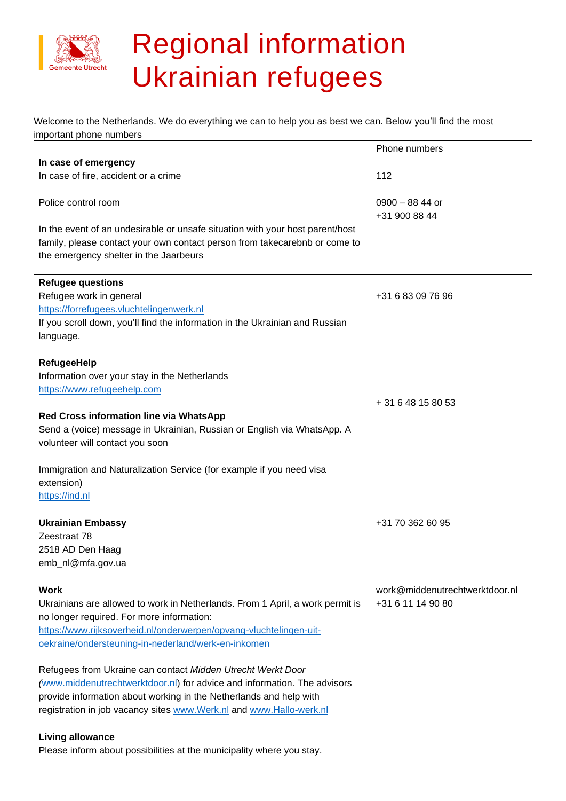

## Regional information Ukrainian refugees

Welcome to the Netherlands. We do everything we can to help you as best we can. Below you'll find the most important phone numbers

|                                                                               | Phone numbers                     |
|-------------------------------------------------------------------------------|-----------------------------------|
| In case of emergency                                                          |                                   |
| In case of fire, accident or a crime                                          | 112                               |
| Police control room                                                           | $0900 - 8844$ or<br>+31 900 88 44 |
| In the event of an undesirable or unsafe situation with your host parent/host |                                   |
| family, please contact your own contact person from takecarebnb or come to    |                                   |
| the emergency shelter in the Jaarbeurs                                        |                                   |
|                                                                               |                                   |
| <b>Refugee questions</b>                                                      |                                   |
| Refugee work in general                                                       | +31 6 83 09 76 96                 |
| https://forrefugees.vluchtelingenwerk.nl                                      |                                   |
| If you scroll down, you'll find the information in the Ukrainian and Russian  |                                   |
| language.                                                                     |                                   |
|                                                                               |                                   |
| <b>RefugeeHelp</b>                                                            |                                   |
| Information over your stay in the Netherlands                                 |                                   |
| https://www.refugeehelp.com                                                   |                                   |
|                                                                               | + 31 6 48 15 80 53                |
| Red Cross information line via WhatsApp                                       |                                   |
| Send a (voice) message in Ukrainian, Russian or English via WhatsApp. A       |                                   |
| volunteer will contact you soon                                               |                                   |
|                                                                               |                                   |
| Immigration and Naturalization Service (for example if you need visa          |                                   |
| extension)                                                                    |                                   |
| https://ind.nl                                                                |                                   |
| <b>Ukrainian Embassy</b>                                                      | +31 70 362 60 95                  |
| Zeestraat 78                                                                  |                                   |
| 2518 AD Den Haag                                                              |                                   |
| emb_nl@mfa.gov.ua                                                             |                                   |
|                                                                               |                                   |
| <b>Work</b>                                                                   | work@middenutrechtwerktdoor.nl    |
| Ukrainians are allowed to work in Netherlands. From 1 April, a work permit is | +31 6 11 14 90 80                 |
| no longer required. For more information:                                     |                                   |
| https://www.rijksoverheid.nl/onderwerpen/opvang-vluchtelingen-uit-            |                                   |
| oekraine/ondersteuning-in-nederland/werk-en-inkomen                           |                                   |
|                                                                               |                                   |
| Refugees from Ukraine can contact Midden Utrecht Werkt Door                   |                                   |
| (www.middenutrechtwerktdoor.nl) for advice and information. The advisors      |                                   |
| provide information about working in the Netherlands and help with            |                                   |
| registration in job vacancy sites www.Werk.nl and www.Hallo-werk.nl           |                                   |
|                                                                               |                                   |
| <b>Living allowance</b>                                                       |                                   |
| Please inform about possibilities at the municipality where you stay.         |                                   |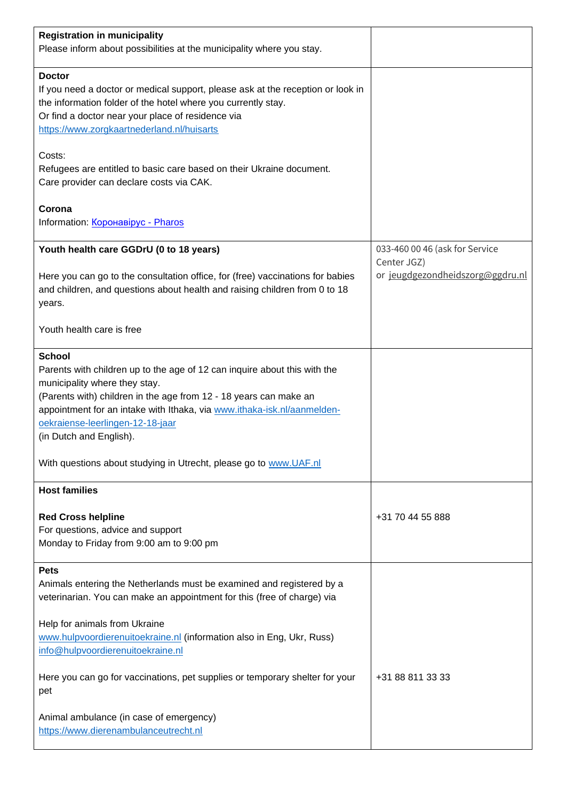| <b>Registration in municipality</b><br>Please inform about possibilities at the municipality where you stay.                                                                                                                                                                                                                                                                                                    |                                               |
|-----------------------------------------------------------------------------------------------------------------------------------------------------------------------------------------------------------------------------------------------------------------------------------------------------------------------------------------------------------------------------------------------------------------|-----------------------------------------------|
| <b>Doctor</b><br>If you need a doctor or medical support, please ask at the reception or look in<br>the information folder of the hotel where you currently stay.<br>Or find a doctor near your place of residence via<br>https://www.zorgkaartnederland.nl/huisarts                                                                                                                                            |                                               |
| Costs:<br>Refugees are entitled to basic care based on their Ukraine document.<br>Care provider can declare costs via CAK.                                                                                                                                                                                                                                                                                      |                                               |
| Corona<br>Information: Коронавірус - Pharos                                                                                                                                                                                                                                                                                                                                                                     |                                               |
| Youth health care GGDrU (0 to 18 years)                                                                                                                                                                                                                                                                                                                                                                         | 033-460 00 46 (ask for Service<br>Center JGZ) |
| Here you can go to the consultation office, for (free) vaccinations for babies<br>and children, and questions about health and raising children from 0 to 18<br>years.                                                                                                                                                                                                                                          | or jeugdgezondheidszorg@ggdru.nl              |
| Youth health care is free                                                                                                                                                                                                                                                                                                                                                                                       |                                               |
| <b>School</b><br>Parents with children up to the age of 12 can inquire about this with the<br>municipality where they stay.<br>(Parents with) children in the age from 12 - 18 years can make an<br>appointment for an intake with Ithaka, via www.ithaka-isk.nl/aanmelden-<br>oekraiense-leerlingen-12-18-jaar<br>(in Dutch and English).<br>With questions about studying in Utrecht, please go to www.UAF.nl |                                               |
| <b>Host families</b>                                                                                                                                                                                                                                                                                                                                                                                            |                                               |
| <b>Red Cross helpline</b><br>For questions, advice and support<br>Monday to Friday from 9:00 am to 9:00 pm                                                                                                                                                                                                                                                                                                      | +31 70 44 55 888                              |
| <b>Pets</b><br>Animals entering the Netherlands must be examined and registered by a<br>veterinarian. You can make an appointment for this (free of charge) via<br>Help for animals from Ukraine<br>www.hulpvoordierenuitoekraine.nl (information also in Eng, Ukr, Russ)                                                                                                                                       |                                               |
| info@hulpvoordierenuitoekraine.nl<br>Here you can go for vaccinations, pet supplies or temporary shelter for your<br>pet                                                                                                                                                                                                                                                                                        | +31 88 811 33 33                              |
| Animal ambulance (in case of emergency)<br>https://www.dierenambulanceutrecht.nl                                                                                                                                                                                                                                                                                                                                |                                               |